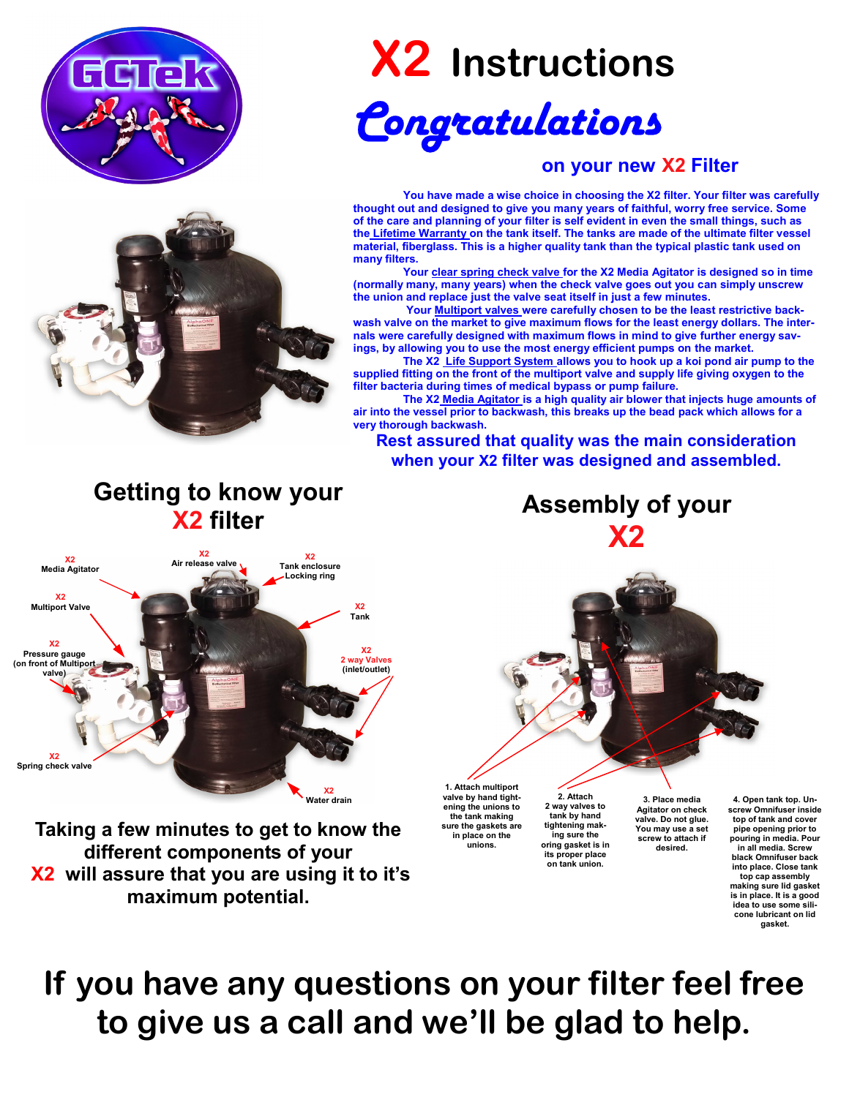

# **X2 Instructions**

# *Congratulations*

#### **on your new X2 Filter**

 **You have made a wise choice in choosing the X2 filter. Your filter was carefully thought out and designed to give you many years of faithful, worry free service. Some of the care and planning of your filter is self evident in even the small things, such as the Lifetime Warranty on the tank itself. The tanks are made of the ultimate filter vessel material, fiberglass. This is a higher quality tank than the typical plastic tank used on many filters.** 

 **Your clear spring check valve for the X2 Media Agitator is designed so in time (normally many, many years) when the check valve goes out you can simply unscrew the union and replace just the valve seat itself in just a few minutes.** 

Your **Multiport valves** were carefully chosen to be the least restrictive back**wash valve on the market to give maximum flows for the least energy dollars. The internals were carefully designed with maximum flows in mind to give further energy savings, by allowing you to use the most energy efficient pumps on the market.** 

 **The X2 Life Support System allows you to hook up a koi pond air pump to the supplied fitting on the front of the multiport valve and supply life giving oxygen to the filter bacteria during times of medical bypass or pump failure.** 

 **The X2 Media Agitator is a high quality air blower that injects huge amounts of air into the vessel prior to backwash, this breaks up the bead pack which allows for a very thorough backwash.** 

**Rest assured that quality was the main consideration when your X2 filter was designed and assembled.** 

## **Getting to know your X2 filter**



**Taking a few minutes to get to know the different components of your X2 will assure that you are using it to it's maximum potential.** 

**Assembly of your X2** 



**1. Attach multiport valve by hand tightening the unions to the tank making sure the gaskets are in place on the unions.** 

**2. Attach 2 way valves to tank by hand tightening making sure the oring gasket is in its proper place on tank union.** 

**3. Place media Agitator on check valve. Do not glue. You may use a set screw to attach if desired.** 

**4. Open tank top. Unscrew Omnifuser inside top of tank and cover pipe opening prior to pouring in media. Pour in all media. Screw black Omnifuser back into place. Close tank top cap assembly making sure lid gasket is in place. It is a good idea to use some silicone lubricant on lid gasket.** 

# **If you have any questions on your filter feel free to give us a call and we'll be glad to help.**